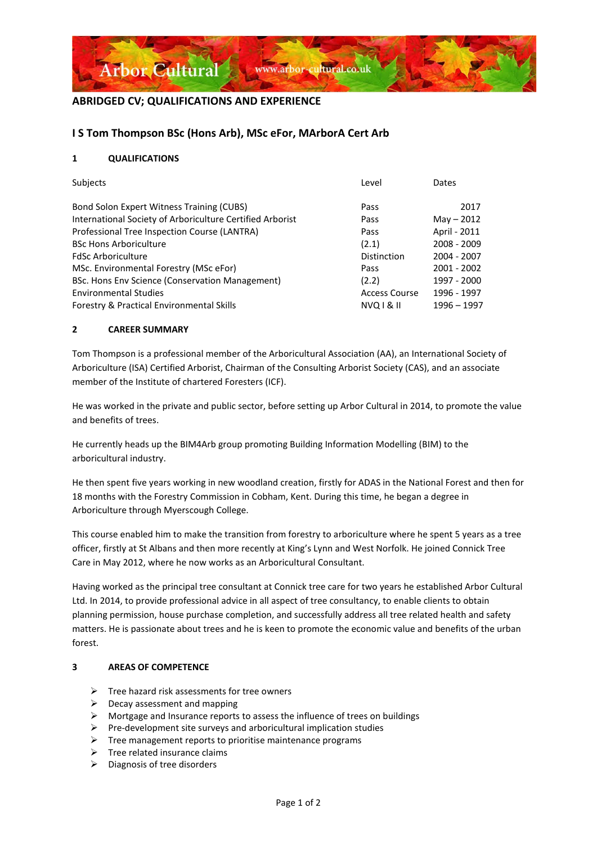

## **ABRIDGED CV; QUALIFICATIONS AND EXPERIENCE**

## **I S Tom Thompson BSc (Hons Arb), MSc eFor, MArborA Cert Arb**

#### **1 QUALIFICATIONS**

| Subjects                                                  | Level                | Dates        |
|-----------------------------------------------------------|----------------------|--------------|
| Bond Solon Expert Witness Training (CUBS)                 | Pass                 | 2017         |
| International Society of Arboriculture Certified Arborist | Pass                 | $May - 2012$ |
| Professional Tree Inspection Course (LANTRA)              | Pass                 | April - 2011 |
| <b>BSc Hons Arboriculture</b>                             | (2.1)                | 2008 - 2009  |
| <b>FdSc Arboriculture</b>                                 | Distinction          | 2004 - 2007  |
| MSc. Environmental Forestry (MSc eFor)                    | Pass                 | 2001 - 2002  |
| BSc. Hons Env Science (Conservation Management)           | (2.2)                | 1997 - 2000  |
| <b>Environmental Studies</b>                              | <b>Access Course</b> | 1996 - 1997  |
| <b>Forestry &amp; Practical Environmental Skills</b>      | <b>NVQ1&amp;1I</b>   | 1996 - 1997  |

#### **2 CAREER SUMMARY**

Tom Thompson is a professional member of the Arboricultural Association (AA), an International Society of Arboriculture (ISA) Certified Arborist, Chairman of the Consulting Arborist Society (CAS), and an associate member of the Institute of chartered Foresters (ICF).

He was worked in the private and public sector, before setting up Arbor Cultural in 2014, to promote the value and benefits of trees.

He currently heads up the BIM4Arb group promoting Building Information Modelling (BIM) to the arboricultural industry.

He then spent five years working in new woodland creation, firstly for ADAS in the National Forest and then for 18 months with the Forestry Commission in Cobham, Kent. During this time, he began a degree in Arboriculture through Myerscough College.

This course enabled him to make the transition from forestry to arboriculture where he spent 5 years as a tree officer, firstly at St Albans and then more recently at King's Lynn and West Norfolk. He joined Connick Tree Care in May 2012, where he now works as an Arboricultural Consultant.

Having worked as the principal tree consultant at Connick tree care for two years he established Arbor Cultural Ltd. In 2014, to provide professional advice in all aspect of tree consultancy, to enable clients to obtain planning permission, house purchase completion, and successfully address all tree related health and safety matters. He is passionate about trees and he is keen to promote the economic value and benefits of the urban forest.

#### **3 AREAS OF COMPETENCE**

- $\triangleright$  Tree hazard risk assessments for tree owners
- $\triangleright$  Decay assessment and mapping
- ➢ Mortgage and Insurance reports to assess the influence of trees on buildings
- $\triangleright$  Pre-development site surveys and arboricultural implication studies
- $\triangleright$  Tree management reports to prioritise maintenance programs
- $\triangleright$  Tree related insurance claims
- ➢ Diagnosis of tree disorders